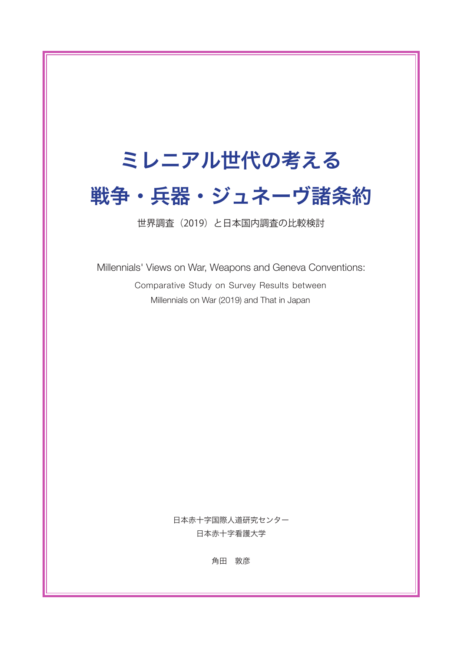# ミレニアル世代の考える 戦争・兵器・ジュネーヴ諸条約

世界調査(2019)と日本国内調査の比較検討

Millennials' Views on War, Weapons and Geneva Conventions: Comparative Study on Survey Results between Millennials on War (2019) and That in Japan

> 日本赤十字国際人道研究センター 日本赤十字看護大学

> > 角田 敦彦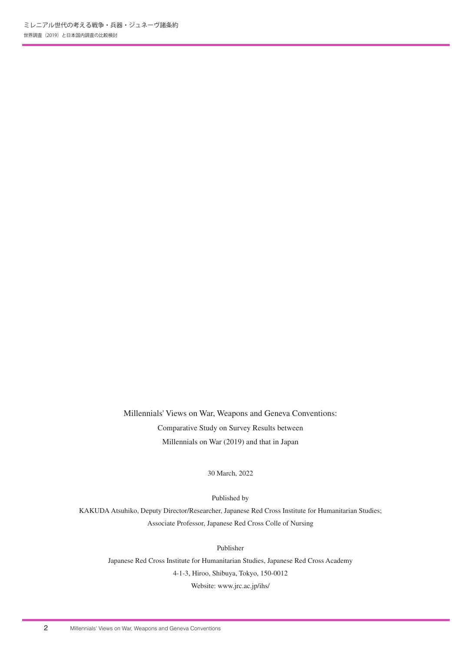Millennials' Views on War, Weapons and Geneva Conventions: Comparative Study on Survey Results between Millennials on War (2019) and that in Japan

30 March, 2022

Published by

KAKUDA Atsuhiko, Deputy Director/Researcher, Japanese Red Cross Institute for Humanitarian Studies; Associate Professor, Japanese Red Cross Colle of Nursing

Publisher

Japanese Red Cross Institute for Humanitarian Studies, Japanese Red Cross Academy 4-1-3, Hiroo, Shibuya, Tokyo, 150-0012 Website: www.jrc.ac.jp/ihs/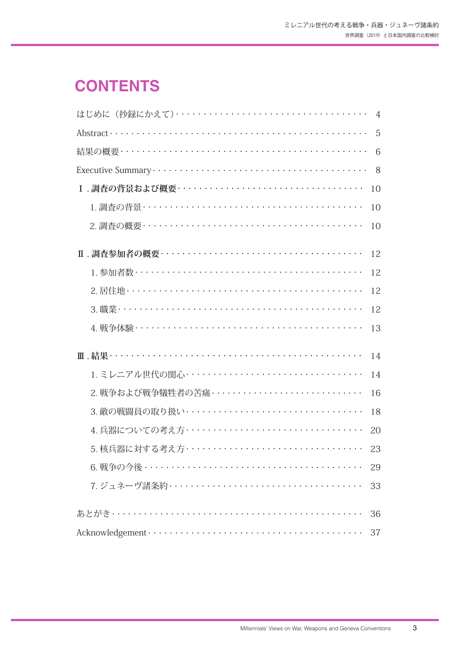## **CONTENTS**

|                                                  | 4  |
|--------------------------------------------------|----|
|                                                  | 5  |
|                                                  | 6  |
|                                                  | 8  |
|                                                  | 10 |
|                                                  | 10 |
|                                                  | 10 |
|                                                  | 12 |
|                                                  | 12 |
|                                                  | 12 |
|                                                  | 12 |
|                                                  | 13 |
|                                                  | 14 |
|                                                  | 14 |
| 2. 戦争および戦争犠牲者の苦痛・・・・・・・・・・・・・・・・・・・・・・・・・・・・・・・  | 16 |
| 3. 敵の戦闘員の取り扱い・・・・・・・・・・・・・・・・・・・・・・・・・・・・・・・・・・  | 18 |
| 4. 兵器についての考え方・・・・・・・・・・・・・・・・・・・・・・・・・・・・・・・・・・・ | 20 |
| 5. 核兵器に対する考え方・・・・・・・・・・・・・・・・・・・・・・・・・・・・・・・・・・  | 23 |
|                                                  | 29 |
|                                                  | 33 |
|                                                  | 36 |
|                                                  | 37 |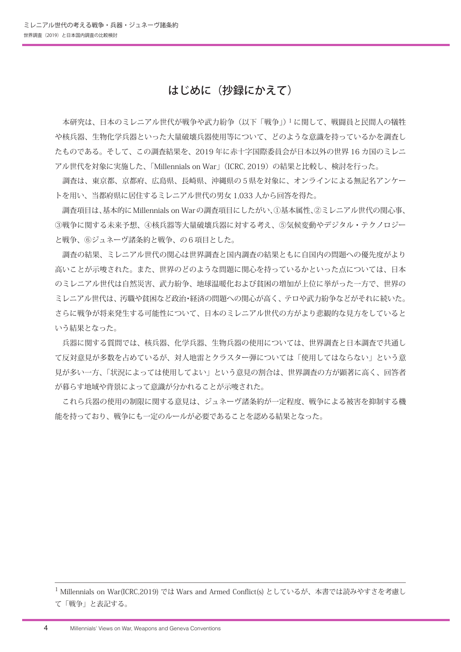## はじめに(抄録にかえて)

 本研究は、日本のミレニアル世代が戦争や武力紛争(以下「戦争」)1 に関して、戦闘員と民間人の犠牲 や核兵器、生物化学兵器といった大量破壊兵器使用等について、どのような意識を持っているかを調査し たものである。そして、この調査結果を、2019 年に赤十字国際委員会が日本以外の世界 16 カ国のミレニ アル世代を対象に実施した、「Millennials on War」(ICRC, 2019)の結果と比較し、検討を行った。

 調査は、東京都、京都府、広島県、長崎県、沖縄県の5県を対象に、オンラインによる無記名アンケー トを用い、当都府県に居住するミレニアル世代の男女 1,033 人から回答を得た。

 調査項目は、基本的にMillennials on Warの調査項目にしたがい、①基本属性、②ミレニアル世代の関心事、 ③戦争に関する未来予想、④核兵器等大量破壊兵器に対する考え、⑤気候変動やデジタル・テクノロジー と戦争、⑥ジュネーヴ諸条約と戦争、の6項目とした。

 調査の結果、ミレニアル世代の関心は世界調査と国内調査の結果ともに自国内の問題への優先度がより 高いことが示唆された。また、世界のどのような問題に関心を持っているかといった点については、日本 のミレニアル世代は自然災害、武力紛争、地球温暖化および貧困の増加が上位に挙がった一方で、世界の ミレニアル世代は、汚職や貧困など政治・経済の問題への関心が高く、テロや武力紛争などがそれに続いた。 さらに戦争が将来発生する可能性について、日本のミレニアル世代の方がより悲観的な見方をしていると いう結果となった。

 兵器に関する質問では、核兵器、化学兵器、生物兵器の使用については、世界調査と日本調査で共通し て反対意見が多数を占めているが、対人地雷とクラスター弾については「使用してはならない」という意 見が多い一方、「状況によっては使用してよい」という意見の割合は、世界調査の方が顕著に高く、回答者 が暮らす地域や背景によって意識が分かれることが示唆された。

 これら兵器の使用の制限に関する意見は、ジュネーヴ諸条約が一定程度、戦争による被害を抑制する機 能を持っており、戦争にも一定のルールが必要であることを認める結果となった。

<sup>1</sup> Millennials on War(ICRC.2019) では Wars and Armed Conflict(s) としているが、本書では読みやすさを考慮し て「戦争」と表記する。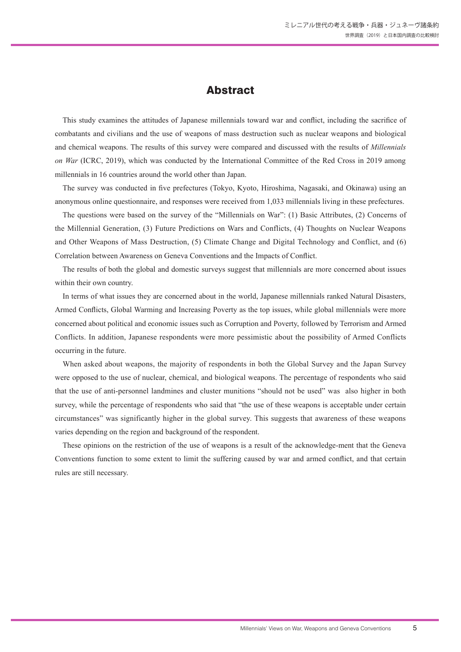## Abstract

This study examines the attitudes of Japanese millennials toward war and conflict, including the sacrifice of combatants and civilians and the use of weapons of mass destruction such as nuclear weapons and biological and chemical weapons. The results of this survey were compared and discussed with the results of *Millennials on War* (ICRC, 2019), which was conducted by the International Committee of the Red Cross in 2019 among millennials in 16 countries around the world other than Japan.

The survey was conducted in five prefectures (Tokyo, Kyoto, Hiroshima, Nagasaki, and Okinawa) using an anonymous online questionnaire, and responses were received from 1,033 millennials living in these prefectures.

The questions were based on the survey of the "Millennials on War": (1) Basic Attributes, (2) Concerns of the Millennial Generation, (3) Future Predictions on Wars and Conflicts, (4) Thoughts on Nuclear Weapons and Other Weapons of Mass Destruction, (5) Climate Change and Digital Technology and Conflict, and (6) Correlation between Awareness on Geneva Conventions and the Impacts of Conflict.

The results of both the global and domestic surveys suggest that millennials are more concerned about issues within their own country.

In terms of what issues they are concerned about in the world, Japanese millennials ranked Natural Disasters, Armed Conflicts, Global Warming and Increasing Poverty as the top issues, while global millennials were more concerned about political and economic issues such as Corruption and Poverty, followed by Terrorism and Armed Conflicts. In addition, Japanese respondents were more pessimistic about the possibility of Armed Conflicts occurring in the future.

When asked about weapons, the majority of respondents in both the Global Survey and the Japan Survey were opposed to the use of nuclear, chemical, and biological weapons. The percentage of respondents who said that the use of anti-personnel landmines and cluster munitions "should not be used" was also higher in both survey, while the percentage of respondents who said that "the use of these weapons is acceptable under certain circumstances" was significantly higher in the global survey. This suggests that awareness of these weapons varies depending on the region and background of the respondent.

These opinions on the restriction of the use of weapons is a result of the acknowledge-ment that the Geneva Conventions function to some extent to limit the suffering caused by war and armed conflict, and that certain rules are still necessary.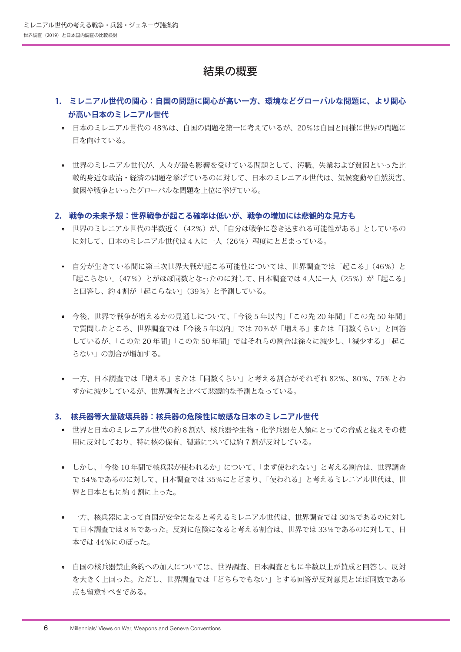## 結果の概要

- **1. ミレニアル世代の関心:自国の問題に関心が高い一方、環境などグローバルな問題に、より関心 が高い日本のミレニアル世代**
	- 日本のミレニアル世代の 48%は、自国の問題を第一に考えているが、20%は自国と同様に世界の問題に 目を向けている。
	- 世界のミレニアル世代が、人々が最も影響を受けている問題として、汚職、失業および貧困といった比 較的身近な政治・経済の問題を挙げているのに対して、日本のミレニアル世代は、気候変動や自然災害、 貧困や戦争といったグローバルな問題を上位に挙げている。
- **2. 戦争の未来予想:世界戦争が起こる確率は低いが、戦争の増加には悲観的な見方も**
	- 世界のミレニアル世代の半数近く(42%)が、「自分は戦争に巻き込まれる可能性がある」としているの に対して、日本のミレニアル世代は4人に一人(26%)程度にとどまっている。
	- 自分が生きている間に第三次世界大戦が起こる可能性については、世界調査では「起こる」(46%)と 「起こらない」(47%)とがほぼ同数となったのに対して、日本調査では4人に一人(25%)が「起こる」 と回答し、約4割が「起こらない」(39%)と予測している。
	- 今後、世界で戦争が増えるかの見通しについて、「今後 5 年以内」「この先 20 年間」「この先 50 年間」 で質問したところ、世界調査では「今後 5 年以内」では 70%が「増える」または「同数くらい」と回答 しているが、「この先 20 年間」「この先 50 年間」ではそれらの割合は徐々に減少し、「減少する」「起こ らない」の割合が増加する。
	- 一方、日本調査では「増える」または「同数くらい」と考える割合がそれぞれ 82%、80%、75% とわ ずかに減少しているが、世界調査と比べて悲観的な予測となっている。

#### **3. 核兵器等大量破壊兵器:核兵器の危険性に敏感な日本のミレニアル世代**

- 世界と日本のミレニアル世代の約8割が、核兵器や生物・化学兵器を人類にとっての脅威と捉えその使 用に反対しており、特に核の保有、製造については約 7 割が反対している。
- しかし、「今後 10 年間で核兵器が使われるか」について、「まず使われない」と考える割合は、世界調査 で 54%であるのに対して、日本調査では 35%にとどまり、「使われる」と考えるミレニアル世代は、世 界と日本ともに約 4 割に上った。
- 一方、核兵器によって自国が安全になると考えるミレニアル世代は、世界調査では 30%であるのに対し て日本調査では8%であった。反対に危険になると考える割合は、世界では 33%であるのに対して、日 本では 44%にのぼった。
- 自国の核兵器禁止条約への加入については、世界調査、日本調査ともに半数以上が賛成と回答し、反対 を大きく上回った。ただし、世界調査では「どちらでもない」とする回答が反対意見とほぼ同数である 点も留意すべきである。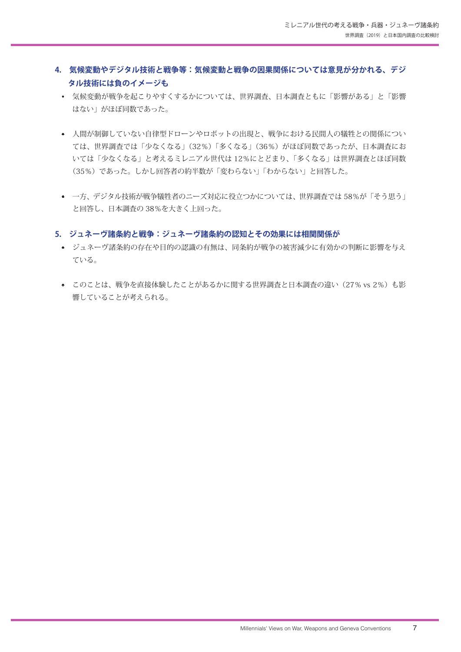- **4. 気候変動やデジタル技術と戦争等:気候変動と戦争の因果関係については意見が分かれる、デジ タル技術には負のイメージも**
	- 気候変動が戦争を起こりやすくするかについては、世界調査、日本調査ともに「影響がある」と「影響 はない」がほぼ同数であった。
	- 人間が制御していない自律型ドローンやロボットの出現と、戦争における民間人の犠牲との関係につい ては、世界調査では「少なくなる」(32%)「多くなる」(36%)がほぼ同数であったが、日本調査にお いては「少なくなる」と考えるミレニアル世代は 12%にとどまり、「多くなる」は世界調査とほぼ同数 (35%)であった。しかし回答者の約半数が「変わらない」「わからない」と回答した。
	- 一方、デジタル技術が戦争犠牲者のニーズ対応に役立つかについては、世界調査では 58%が「そう思う」 と回答し、日本調査の 38%を大きく上回った。

#### **5. ジュネーヴ諸条約と戦争:ジュネーヴ諸条約の認知とその効果には相関関係が**

- ジュネーヴ諸条約の存在や目的の認識の有無は、同条約が戦争の被害減少に有効かの判断に影響を与え ている。
- このことは、戦争を直接体験したことがあるかに関する世界調査と日本調査の違い(27% vs 2%)も影 響していることが考えられる。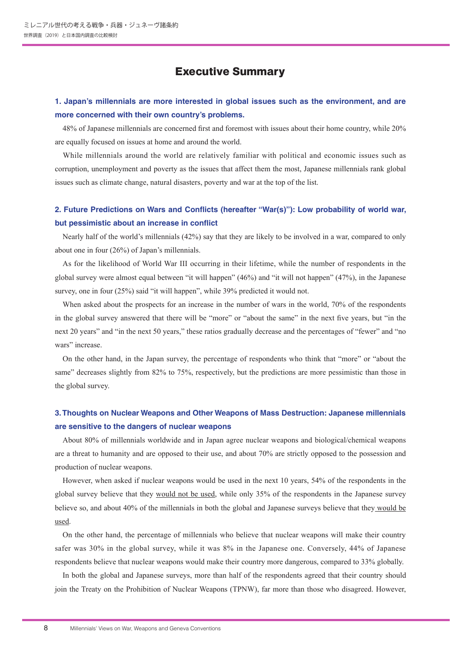## Executive Summary

### **1. Japan's millennials are more interested in global issues such as the environment, and are more concerned with their own country's problems.**

48% of Japanese millennials are concerned first and foremost with issues about their home country, while 20% are equally focused on issues at home and around the world.

While millennials around the world are relatively familiar with political and economic issues such as corruption, unemployment and poverty as the issues that affect them the most, Japanese millennials rank global issues such as climate change, natural disasters, poverty and war at the top of the list.

## **2. Future Predictions on Wars and Conflicts (hereafter "War(s)"): Low probability of world war, but pessimistic about an increase in conflict**

Nearly half of the world's millennials (42%) say that they are likely to be involved in a war, compared to only about one in four (26%) of Japan's millennials.

As for the likelihood of World War III occurring in their lifetime, while the number of respondents in the global survey were almost equal between "it will happen" (46%) and "it will not happen" (47%), in the Japanese survey, one in four (25%) said "it will happen", while 39% predicted it would not.

When asked about the prospects for an increase in the number of wars in the world, 70% of the respondents in the global survey answered that there will be "more" or "about the same" in the next five years, but "in the next 20 years" and "in the next 50 years," these ratios gradually decrease and the percentages of "fewer" and "no wars" increase.

On the other hand, in the Japan survey, the percentage of respondents who think that "more" or "about the same" decreases slightly from 82% to 75%, respectively, but the predictions are more pessimistic than those in the global survey.

## **3. Thoughts on Nuclear Weapons and Other Weapons of Mass Destruction: Japanese millennials are sensitive to the dangers of nuclear weapons**

About 80% of millennials worldwide and in Japan agree nuclear weapons and biological/chemical weapons are a threat to humanity and are opposed to their use, and about 70% are strictly opposed to the possession and production of nuclear weapons.

However, when asked if nuclear weapons would be used in the next 10 years, 54% of the respondents in the global survey believe that they would not be used, while only 35% of the respondents in the Japanese survey believe so, and about 40% of the millennials in both the global and Japanese surveys believe that they would be used.

On the other hand, the percentage of millennials who believe that nuclear weapons will make their country safer was 30% in the global survey, while it was 8% in the Japanese one. Conversely, 44% of Japanese respondents believe that nuclear weapons would make their country more dangerous, compared to 33% globally.

In both the global and Japanese surveys, more than half of the respondents agreed that their country should join the Treaty on the Prohibition of Nuclear Weapons (TPNW), far more than those who disagreed. However,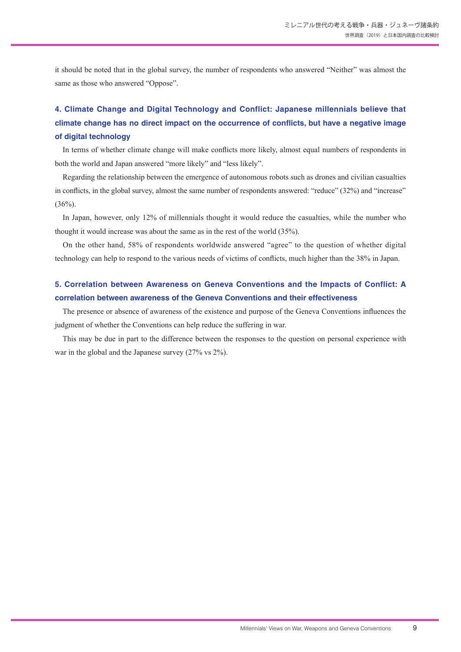it should be noted that in the global survey, the number of respondents who answered "Neither" was almost the same as those who answered "Oppose".

## **4. Climate Change and Digital Technology and Conflict: Japanese millennials believe that climate change has no direct impact on the occurrence of conflicts, but have a negative image of digital technology**

In terms of whether climate change will make conflicts more likely, almost equal numbers of respondents in both the world and Japan answered "more likely" and "less likely".

Regarding the relationship between the emergence of autonomous robots such as drones and civilian casualties in conflicts, in the global survey, almost the same number of respondents answered: "reduce" (32%) and "increase"  $(36\%)$ .

In Japan, however, only 12% of millennials thought it would reduce the casualties, while the number who thought it would increase was about the same as in the rest of the world (35%).

On the other hand, 58% of respondents worldwide answered "agree" to the question of whether digital technology can help to respond to the various needs of victims of conflicts, much higher than the 38% in Japan.

## **5. Correlation between Awareness on Geneva Conventions and the Impacts of Conflict: A correlation between awareness of the Geneva Conventions and their effectiveness**

The presence or absence of awareness of the existence and purpose of the Geneva Conventions influences the judgment of whether the Conventions can help reduce the suffering in war.

This may be due in part to the difference between the responses to the question on personal experience with war in the global and the Japanese survey (27% vs 2%).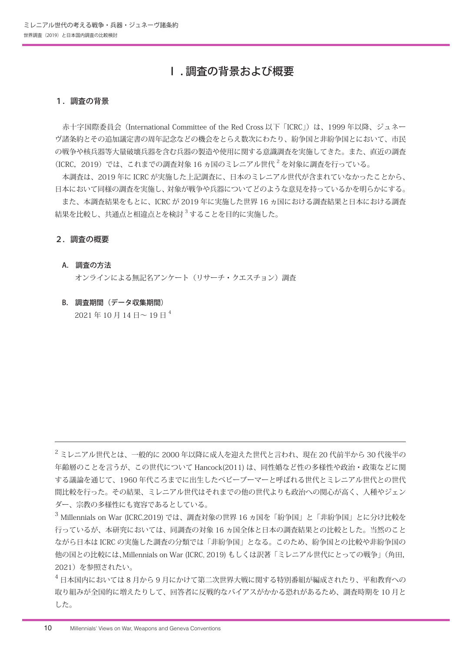## Ⅰ . 調査の背景および概要

#### 1.調査の背景

赤十字国際委員会 (International Committee of the Red Cross 以下「ICRC」)は、1999 年以降、ジュネー ヴ諸条約とその追加議定書の周年記念などの機会をとらえ数次にわたり、紛争国と非紛争国とにおいて、市民 の戦争や核兵器等大量破壊兵器を含む兵器の製造や使用に関する意識調査を実施してきた。また、直近の調査 (ICRC, 2019) では、これまでの調査対象 16 ヵ国のミレニアル世代<sup>2</sup> を対象に調査を行っている。

 本調査は、2019 年に ICRC が実施した上記調査に、日本のミレニアル世代が含まれていなかったことから、 日本において同様の調査を実施し、対象が戦争や兵器についてどのような意見を持っているかを明らかにする。

 また、本調査結果をもとに、ICRC が 2019 年に実施した世界 16 ヵ国における調査結果と日本における調査 結果を比較し、共通点と相違点とを検討 <sup>3</sup> することを目的に実施した。

#### 2.調査の概要

#### A. 調査の方法

オンラインによる無記名アンケート(リサーチ・クエスチョン)調査

B. 調査期間(データ収集期間)

 $2021 \text{ } \text{# } 10 \text{ } \text{H} 14 \text{ } \text{H} \sim 19 \text{ } \text{H}^4$ 

 $2$ ミレニアル世代とは、一般的に 2000 年以降に成人を迎えた世代と言われ、現在 20 代前半から 30 代後半の 年齢層のことを言うが、この世代について Hancock(2011) は、同性婚など性の多様性や政治・政策などに関 する議論を通じて、1960 年代ころまでに出生したベビーブーマーと呼ばれる世代とミレニアル世代との世代 間比較を行った。その結果、ミレニアル世代はそれまでの他の世代よりも政治への関心が高く、人種やジェン ダー、宗教の多様性にも寛容であるとしている。

<sup>3</sup> Millennials on War (ICRC,2019) では、調査対象の世界 16 ヵ国を「紛争国」と「非紛争国」とに分け比較を 行っているが、本研究においては、同調査の対象 16 ヵ国全体と日本の調査結果との比較とした。当然のこと ながら日本は ICRC の実施した調査の分類では「非紛争国」となる。このため、紛争国との比較や非紛争国の 他の国との比較には、Millennials on War (ICRC, 2019) もしくは訳著「ミレニアル世代にとっての戦争」(角田, 2021)を参照されたい。

<sup>4</sup> 日本国内においては 8 月から 9 月にかけて第二次世界大戦に関する特別番組が編成されたり、平和教育への 取り組みが全国的に増えたりして、回答者に反戦的なバイアスがかかる恐れがあるため、調査時期を 10 月と した。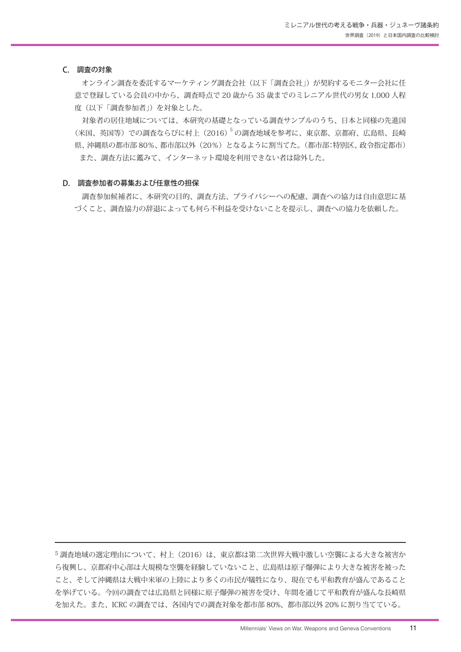#### C. 調査の対象

 オンライン調査を委託するマーケティング調査会社(以下「調査会社」)が契約するモニター会社に任 意で登録している会員の中から、調査時点で 20 歳から 35 歳までのミレニアル世代の男女 1,000 人程 度(以下「調査参加者」)を対象とした。

 対象者の居住地域については、本研究の基礎となっている調査サンプルのうち、日本と同様の先進国 (米国、英国等)での調査ならびに村上(2016)5 の調査地域を参考に、東京都、京都府、広島県、長崎 県、沖縄県の都市部 80%、都市部以外(20%)となるように割当てた。(都市部:特別区、政令指定都市) また、調査方法に鑑みて、インターネット環境を利用できない者は除外した。

#### D. 調査参加者の募集および任意性の担保

 調査参加候補者に、本研究の目的、調査方法、プライバシーへの配慮、調査への協力は自由意思に基 づくこと、調査協力の辞退によっても何ら不利益を受けないことを提示し、調査への協力を依頼した。

<sup>5</sup> 調査地域の選定理由について、村上(2016)は、東京都は第二次世界大戦中激しい空襲による大きな被害か ら復興し、京都府中心部は大規模な空襲を経験していないこと、広島県は原子爆弾により大きな被害を被った こと、そして沖縄県は大戦中米軍の上陸により多くの市民が犠牲になり、現在でも平和教育が盛んであること を挙げている。今回の調査では広島県と同様に原子爆弾の被害を受け、年間を通じて平和教育が盛んな長崎県 を加えた。また、ICRC の調査では、各国内での調査対象を都市部 80%、都市部以外 20% に割り当てている。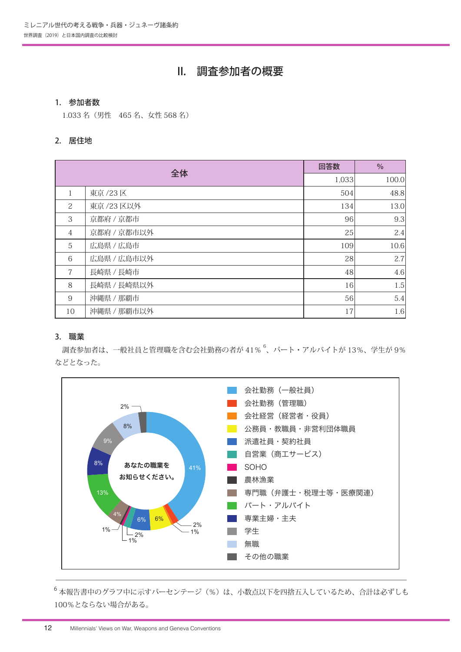## II. 調査参加者の概要

#### 1. 参加者数

1.033 名(男性 465 名、女性 568 名)

#### 2. 居住地

| 全体             |             | 回答数   | $\%$  |
|----------------|-------------|-------|-------|
|                |             | 1,033 | 100.0 |
| 1              | 東京 /23区     | 504   | 48.8  |
| 2              | 東京 /23 区以外  | 134   | 13.0  |
| 3              | 京都府 / 京都市   | 96    | 9.3   |
| $\overline{4}$ | 京都府 / 京都市以外 | 25    | 2.4   |
| 5              | 広島県 / 広島市   | 109   | 10.6  |
| 6              | 広島県 / 広島市以外 | 28    | 2.7   |
| 7              | 長崎県 / 長崎市   | 48    | 4.6   |
| 8              | 長崎県 / 長崎県以外 | 16    | 1.5   |
| $\overline{9}$ | 沖縄県 / 那覇市   | 56    | 5.4   |
| 10             | 沖縄県 / 那覇市以外 | 17    | 1.6   |

## 3. 職業

調査参加者は、一般社員と管理職を含む会社勤務の者が 41%  $^6$ 、パート・アルバイトが 13%、学生が 9% などとなった。



<sup>6</sup> 本報告書中のグラフ中に示すパーセンテージ(%)は、小数点以下を四捨五入しているため、合計は必ずしも 100%とならない場合がある。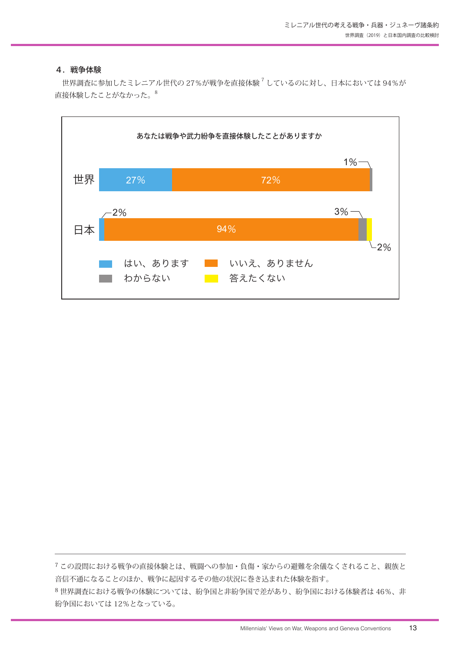#### 4.戦争体験

世界調査に参加したミレニアル世代の 27%が戦争を直接体験<sup>7</sup>しているのに対し、日本においては 94%が 直接体験したことがなかった。8



<sup>7</sup> この設問における戦争の直接体験とは、戦闘への参加・負傷・家からの避難を余儀なくされること、親族と 音信不通になることのほか、戦争に起因するその他の状況に巻き込まれた体験を指す。 <sup>8</sup> 世界調査における戦争の体験については、紛争国と非紛争国で差があり、紛争国における体験者は 46%、非 紛争国においては 12%となっている。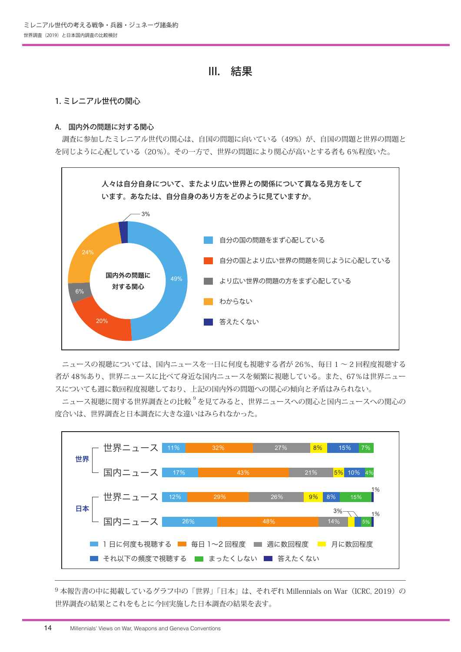## III. 結果

#### 1. ミレニアル世代の関心

#### A. 国内外の問題に対する関心

調査に参加したミレニアル世代の関心は、自国の問題に向いている (49%)が、自国の問題と世界の問題と を同じように心配している(20%)。その一方で、世界の問題により関心が高いとする者も 6%程度いた。



 ニュースの視聴については、国内ニュースを一日に何度も視聴する者が 26%、毎日 1 ~ 2 回程度視聴する 者が 48%あり、世界ニュースに比べて身近な国内ニュースを頻繁に視聴している。また、67%は世界ニュー スについても週に数回程度視聴しており、上記の国内外の問題への関心の傾向と矛盾はみられない。

 ニュース視聴に関する世界調査との比較 <sup>9</sup> を見てみると、世界ニュースへの関心と国内ニュースへの関心の 度合いは、世界調査と日本調査に大きな違いはみられなかった。



9本報告書の中に掲載しているグラフ中の「世界」「日本」は、それぞれ Millennials on War (ICRC, 2019)の 世界調査の結果とこれをもとに今回実施した日本調査の結果を表す。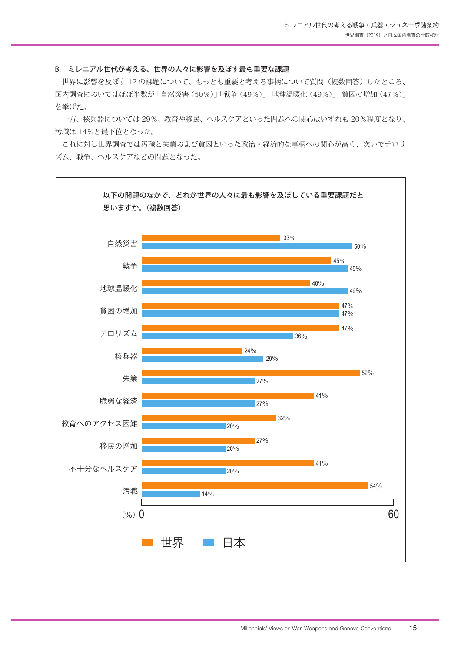#### B. ミレニアル世代が考える、世界の人々に影響を及ぼす最も重要な課題

世界に影響を及ぼす12の課題について、もっとも重要と考える事柄について質問(複数回答)したところ、 国内調査においてはほぼ半数が「自然災害(50%)」「戦争(49%)」「地球温暖化(49%)」「貧困の増加(47%)」 を挙げた。

 一方、核兵器については 29%、教育や移民、ヘルスケアといった問題への関心はいずれも 20%程度となり、 汚職は 14%と最下位となった。

 これに対し世界調査では汚職と失業および貧困といった政治・経済的な事柄への関心が高く、次いでテロリ ズム、戦争、ヘルスケアなどの問題となった。

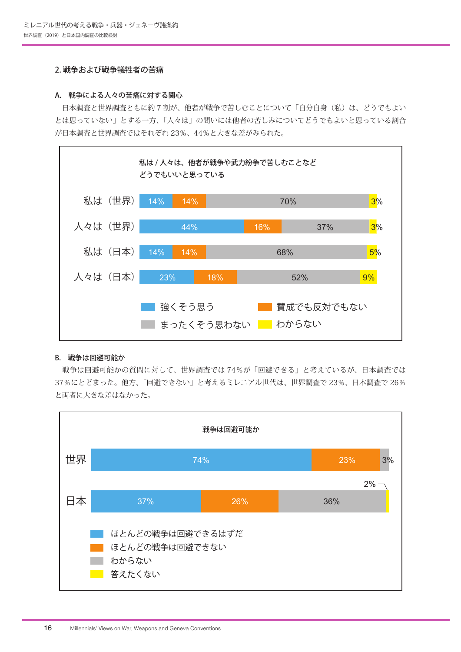#### 2. 戦争および戦争犠牲者の苦痛

#### A. 戦争による人々の苦痛に対する関心

日本調査と世界調査ともに約7割が、他者が戦争で苦しむことについて「自分自身(私)は、どうでもよい とは思っていない」とする一方、「人々は」の問いには他者の苦しみについてどうでもよいと思っている割合 が日本調査と世界調査ではそれぞれ 23%、44%と大きな差がみられた。



#### B. 戦争は回避可能か

 戦争は回避可能かの質問に対して、世界調査では 74%が「回避できる」と考えているが、日本調査では 37%にとどまった。他方、「回避できない」と考えるミレニアル世代は、世界調査で 23%、日本調査で 26% と両者に大きな差はなかった。

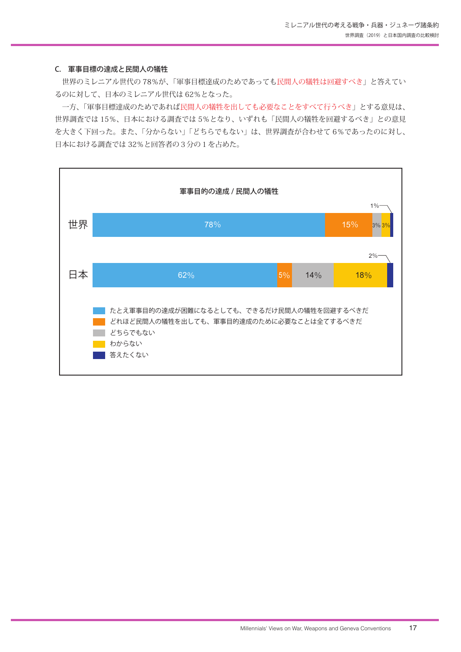#### C. 軍事目標の達成と民間人の犠牲

 世界のミレニアル世代の 78%が、「軍事目標達成のためであっても民間人の犠牲は回避すべき」と答えてい るのに対して、日本のミレニアル世代は 62%となった。

 一方、「軍事目標達成のためであれば民間人の犠牲を出しても必要なことをすべて行うべき」とする意見は、 世界調査では 15%、日本における調査では 5%となり、いずれも「民間人の犠牲を回避するべき」との意見 を大きく下回った。また、「分からない」「どちらでもない」は、世界調査が合わせて 6%であったのに対し、 日本における調査では 32%と回答者の3分の1を占めた。

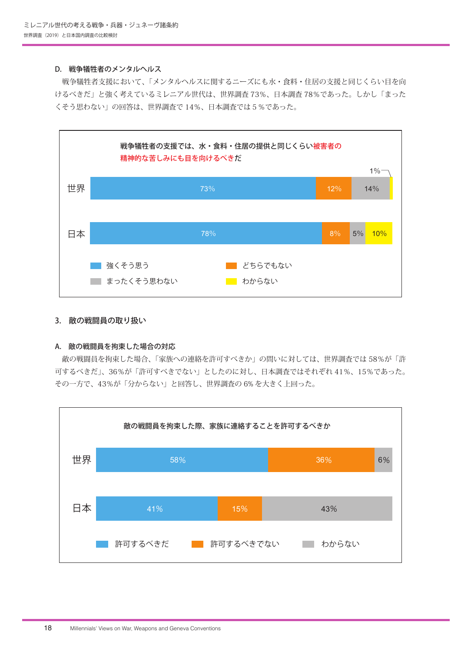#### D. 戦争犠牲者のメンタルヘルス

 戦争犠牲者支援において、「メンタルヘルスに関するニーズにも水・食料・住居の支援と同じくらい目を向 けるべきだ」と強く考えているミレニアル世代は、世界調査 73%、日本調査 78%であった。しかし「まった くそう思わない」の回答は、世界調査で 14%、日本調査では5%であった。



#### 3. 敵の戦闘員の取り扱い

#### A. 敵の戦闘員を拘束した場合の対応

 敵の戦闘員を拘束した場合、「家族への連絡を許可すべきか」の問いに対しては、世界調査では 58%が「許 可するべきだ」、36%が「許可すべきでない」としたのに対し、日本調査ではそれぞれ 41%、15%であった。 その一方で、43%が「分からない」と回答し、世界調査の 6% を大きく上回った。

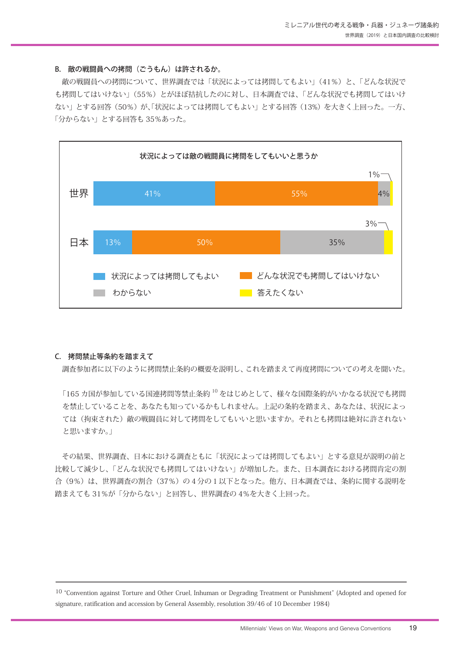#### B. 敵の戦闘員への拷問(ごうもん)は許されるか。

敵の戦闘員への拷問について、世界調査では「状況によっては拷問してもよい」(41%)と、「どんな状況で も拷問してはいけない」(55%)とがほぼ拮抗したのに対し、日本調査では、「どんな状況でも拷問してはいけ ない」とする回答(50%)が、「状況によっては拷問してもよい」とする回答(13%)を大きく上回った。一方、 「分からない」とする回答も 35%あった。



#### C. 拷問禁止等条約を踏まえて

調査参加者に以下のように拷問禁止条約の概要を説明し、これを踏まえて再度拷問についての考えを聞いた。

「165 カ国が参加している国連拷問等禁止条約 10 をはじめとして、様々な国際条約がいかなる状況でも拷問 を禁止していることを、あなたも知っているかもしれません。上記の条約を踏まえ、あなたは、状況によっ ては(拘束された)敵の戦闘員に対して拷問をしてもいいと思いますか。それとも拷問は絶対に許されない と思いますか。」

 その結果、世界調査、日本における調査ともに「状況によっては拷問してもよい」とする意見が説明の前と 比較して減少し、「どんな状況でも拷問してはいけない」が増加した。また、日本調査における拷問肯定の割 合(9%)は、世界調査の割合(37%)の4分の1以下となった。他方、日本調査では、条約に関する説明を 踏まえても 31%が「分からない」と回答し、世界調査の 4%を大きく上回った。

10 "Convention against Torture and Other Cruel, Inhuman or Degrading Treatment or Punishment" (Adopted and opened for signature, ratification and accession by General Assembly, resolution 39/46 of 10 December 1984)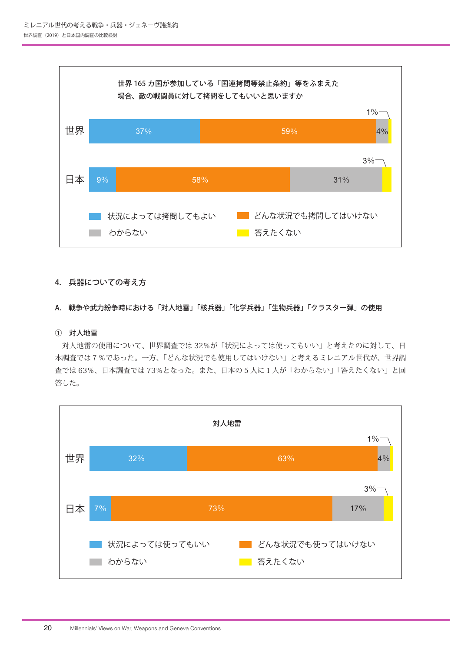

#### 4. 兵器についての考え方

#### A. 戦争や武力紛争時における「対人地雷」「核兵器」「化学兵器」「生物兵器」「クラスター弾」の使用

#### ① 対人地雷

 対人地雷の使用について、世界調査では 32%が「状況によっては使ってもいい」と考えたのに対して、日 本調査では7%であった。一方、「どんな状況でも使用してはいけない」と考えるミレニアル世代が、世界調 査では 63%、日本調査では 73%となった。また、日本の 5 人に1人が「わからない」「答えたくない」と回 答した。

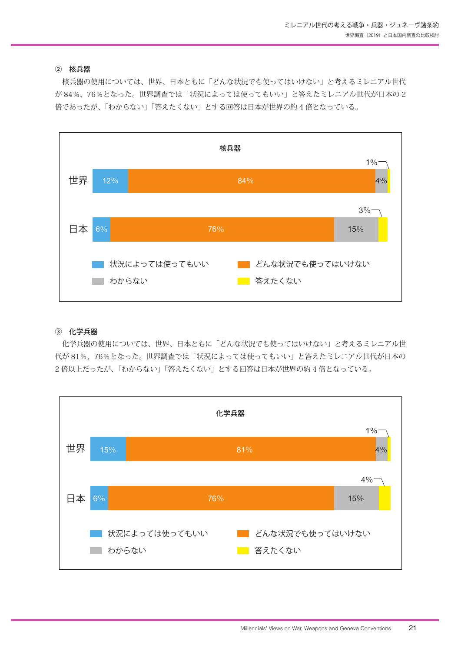#### ② 核兵器

 核兵器の使用については、世界、日本ともに「どんな状況でも使ってはいけない」と考えるミレニアル世代 が 84%、76%となった。世界調査では「状況によっては使ってもいい」と答えたミレニアル世代が日本の 2 倍であったが、「わからない」「答えたくない」とする回答は日本が世界の約 4 倍となっている。



#### ③ 化学兵器

 化学兵器の使用については、世界、日本ともに「どんな状況でも使ってはいけない」と考えるミレニアル世 代が 81%、76%となった。世界調査では「状況によっては使ってもいい」と答えたミレニアル世代が日本の 2 倍以上だったが、「わからない」「答えたくない」とする回答は日本が世界の約 4 倍となっている。

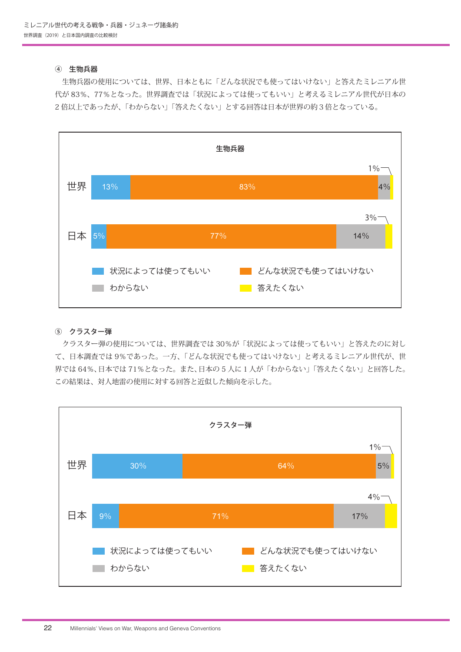#### ④ 生物兵器

 生物兵器の使用については、世界、日本ともに「どんな状況でも使ってはいけない」と答えたミレニアル世 代が 83%、77%となった。世界調査では「状況によっては使ってもいい」と考えるミレニアル世代が日本の 2 倍以上であったが、「わからない」「答えたくない」とする回答は日本が世界の約3倍となっている。



#### ⑤ クラスター弾

 クラスター弾の使用については、世界調査では 30%が「状況によっては使ってもいい」と答えたのに対し て、日本調査では 9%であった。一方、「どんな状況でも使ってはいけない」と考えるミレニアル世代が、世 界では 64%、日本では 71%となった。また、日本の 5 人に1人が「わからない」「答えたくない」と回答した。 この結果は、対人地雷の使用に対する回答と近似した傾向を示した。

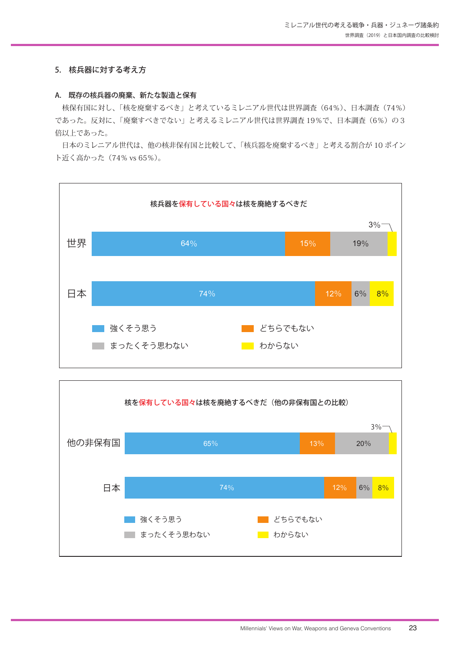#### 5. 核兵器に対する考え方

#### A. 既存の核兵器の廃棄、新たな製造と保有

 核保有国に対し、「核を廃棄するべき」と考えているミレニアル世代は世界調査(64%)、日本調査(74%) であった。反対に、「廃棄すべきでない」と考えるミレニアル世代は世界調査 19%で、日本調査 (6%)の3 倍以上であった。

 日本のミレニアル世代は、他の核非保有国と比較して、「核兵器を廃棄するべき」と考える割合が 10 ポイン ト近く高かった(74% vs 65%)。



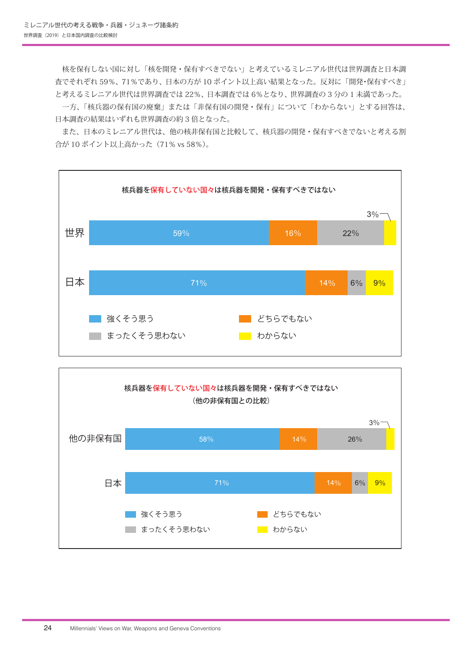核を保有しない国に対し「核を開発・保有すべきでない」と考えているミレニアル世代は世界調査と日本調 査でそれぞれ 59%、71%であり、日本の方が 10 ポイント以上高い結果となった。反対に「開発・保有すべき」 と考えるミレニアル世代は世界調査では 22%、日本調査では 6%となり、世界調査の 3 分の 1 未満であった。

 一方、「核兵器の保有国の廃棄」または「非保有国の開発・保有」について「わからない」とする回答は、 日本調査の結果はいずれも世界調査の約 3 倍となった。

 また、日本のミレニアル世代は、他の核非保有国と比較して、核兵器の開発・保有すべきでないと考える割 合が 10 ポイント以上高かった(71% vs 58%)。



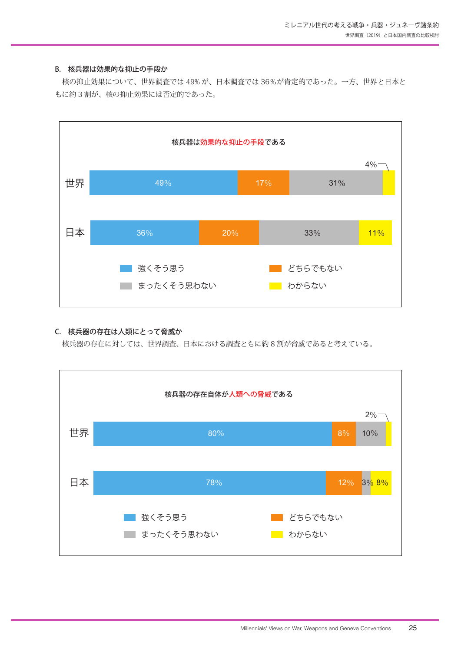#### B. 核兵器は効果的な抑止の手段か

 核の抑止効果について、世界調査では 49% が、日本調査では 36%が肯定的であった。一方、世界と日本と もに約 3 割が、核の抑止効果には否定的であった。



#### C. 核兵器の存在は人類にとって脅威か

核兵器の存在に対しては、世界調査、日本における調査ともに約 8 割が脅威であると考えている。

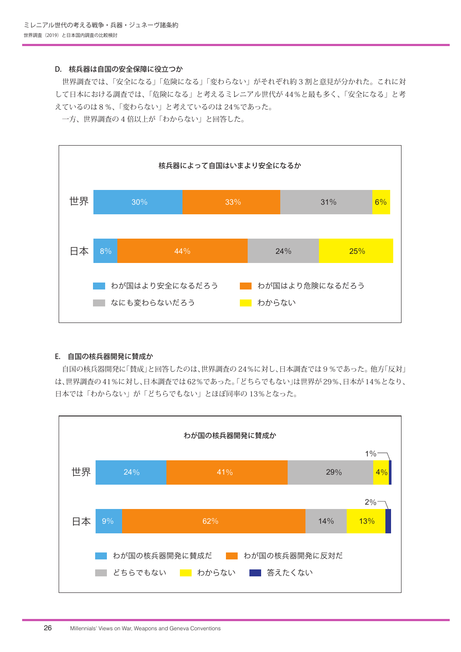#### D. 核兵器は自国の安全保障に役立つか

 世界調査では、「安全になる」「危険になる」「変わらない」がそれぞれ約 3 割と意見が分かれた。これに対 して日本における調査では、「危険になる」と考えるミレニアル世代が 44%と最も多く、「安全になる」と考 えているのは8%、「変わらない」と考えているのは 24%であった。

一方、世界調査の 4 倍以上が「わからない」と回答した。



#### E. 自国の核兵器開発に賛成か

 自国の核兵器開発に「賛成」と回答したのは、世界調査の 24%に対し、日本調査では9%であった。他方「反対」 は、世界調査の 41%に対し、日本調査では 62%であった。「どちらでもない」は世界が 29%、日本が 14%となり、 日本では「わからない」が「どちらでもない」とほぼ同率の 13%となった。

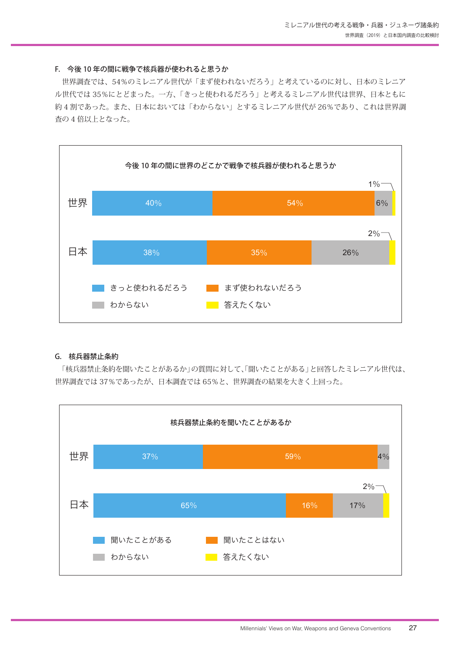#### F. 今後 10 年の間に戦争で核兵器が使われると思うか

 世界調査では、54%のミレニアル世代が「まず使われないだろう」と考えているのに対し、日本のミレニア ル世代では 35%にとどまった。一方、「きっと使われるだろう」と考えるミレニアル世代は世界、日本ともに 約 4 割であった。また、日本においては「わからない」とするミレニアル世代が 26%であり、これは世界調 査の 4 倍以上となった。



#### G. 核兵器禁止条約

「核兵器禁止条約を聞いたことがあるか」の質問に対して、「聞いたことがある」と回答したミレニアル世代は、 世界調査では 37%であったが、日本調査では 65%と、世界調査の結果を大きく上回った。

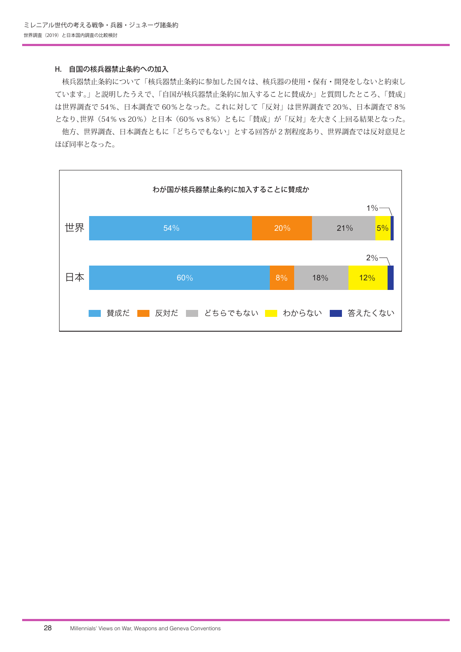#### H. 自国の核兵器禁止条約への加入

 核兵器禁止条約について「核兵器禁止条約に参加した国々は、核兵器の使用・保有・開発をしないと約束し ています。」と説明したうえで、「自国が核兵器禁止条約に加入することに賛成か」と質問したところ、「賛成」 は世界調査で 54%、日本調査で 60%となった。これに対して「反対」は世界調査で 20%、日本調査で 8% となり、世界(54% vs 20%)と日本(60% vs 8%)ともに「賛成」が「反対」を大きく上回る結果となった。

 他方、世界調査、日本調査ともに「どちらでもない」とする回答が 2 割程度あり、世界調査では反対意見と ほぼ同率となった。

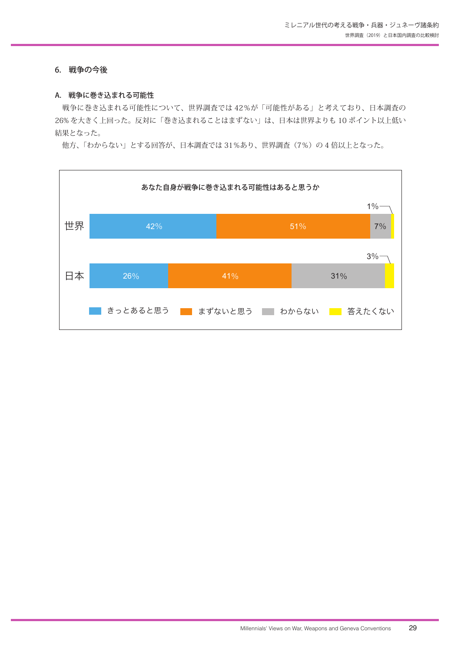#### 6. 戦争の今後

#### A. 戦争に巻き込まれる可能性

 戦争に巻き込まれる可能性について、世界調査では 42%が「可能性がある」と考えており、日本調査の 26% を大きく上回った。反対に「巻き込まれることはまずない」は、日本は世界よりも 10 ポイント以上低い 結果となった。

他方、「わからない」とする回答が、日本調査では 31%あり、世界調査(7%)の4 倍以上となった。

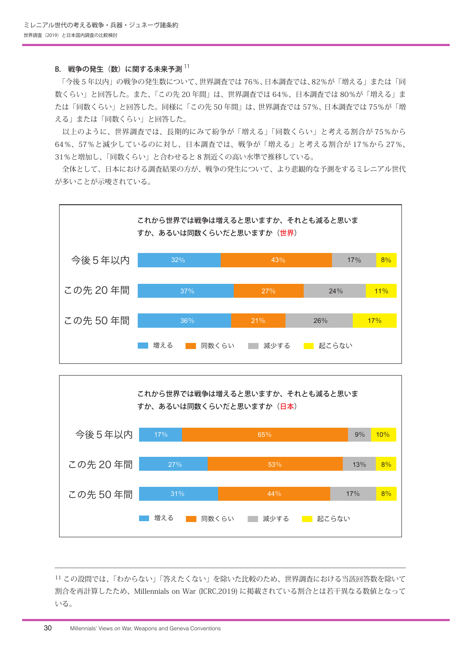#### B. 戦争の発生(数)に関する未来予測 $11$

 「今後 5 年以内」の戦争の発生数について、世界調査では 76%、日本調査では、82%が「増える」または「同 数くらい」と回答した。また、「この先 20 年間」は、世界調査では 64%、日本調査では 80%が「増える」ま たは「同数くらい」と回答した。同様に「この先 50 年間」は、世界調査では 57%、日本調査では 75%が「増 える」または「同数くらい」と回答した。

 以上のように、世界調査では、長期的にみて紛争が「増える」「同数くらい」と考える割合が 75%から 64%、57%と減少しているのに対し、日本調査では、戦争が「増える」と考える割合が 17%から 27%、 31%と増加し、「同数くらい」と合わせると 8 割近くの高い水準で推移している。

 全体として、日本における調査結果の方が、戦争の発生について、より悲観的な予測をするミレニアル世代 が多いことが示唆されている。





<sup>11</sup> この設問では、「わからない」「答えたくない」を除いた比較のため、世界調査における当該回答数を除いて 割合を再計算したため、Millennials on War (ICRC,2019) に掲載されている割合とは若干異なる数値となって いる。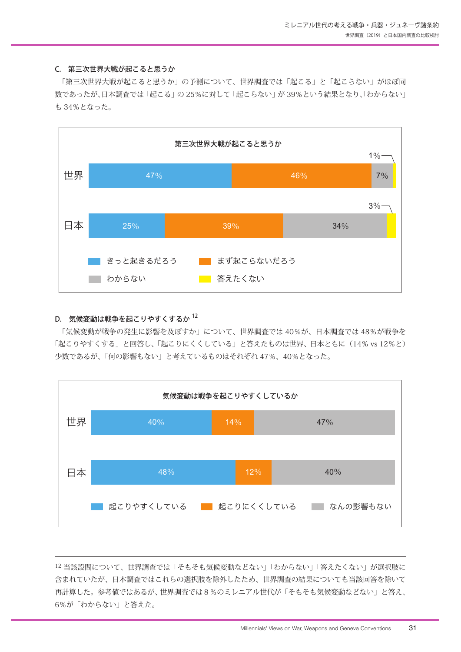#### C. 第三次世界大戦が起こると思うか

 「第三次世界大戦が起こると思うか」の予測について、世界調査では「起こる」と「起こらない」がほぼ同 数であったが、日本調査では「起こる」の 25%に対して「起こらない」が 39%という結果となり、「わからない」 も 34%となった。



#### D. 気候変動は戦争を起こりやすくするか $12$

 「気候変動が戦争の発生に影響を及ぼすか」について、世界調査では 40%が、日本調査では 48%が戦争を 「起こりやすくする」と回答し、「起こりにくくしている」と答えたものは世界、日本ともに (14% vs 12%と) 少数であるが、「何の影響もない」と考えているものはそれぞれ 47%、40%となった。



<sup>12</sup> 当該設問について、世界調査では「そもそも気候変動などない」「わからない」「答えたくない」が選択肢に 含まれていたが、日本調査ではこれらの選択肢を除外したため、世界調査の結果についても当該回答を除いて 再計算した。参考値ではあるが、世界調査では8%のミレニアル世代が「そもそも気候変動などない」と答え、 6%が「わからない」と答えた。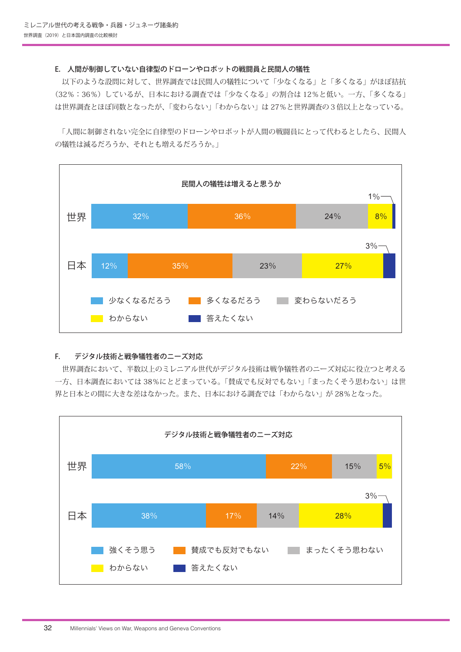#### E. 人間が制御していない自律型のドローンやロボットの戦闘員と民間人の犠牲

 以下のような設問に対して、世界調査では民間人の犠牲について「少なくなる」と「多くなる」がほぼ拮抗 (32%:36%)しているが、日本における調査では「少なくなる」の割合は 12%と低い。一方、「多くなる」 は世界調査とほぼ同数となったが、「変わらない」「わからない」は 27%と世界調査の3倍以上となっている。

 「人間に制御されない完全に自律型のドローンやロボットが人間の戦闘員にとって代わるとしたら、民間人 の犠牲は減るだろうか、



#### F. デジタル技術と戦争犠牲者のニーズ対応

 世界調査において、半数以上のミレニアル世代がデジタル技術は戦争犠牲者のニーズ対応に役立つと考える 一方、日本調査においては 38%にとどまっている。「賛成でも反対でもない」「まったくそう思わない」は世 界と日本との間に大きな差はなかった。また、日本における調査では「わからない」が 28%となった。

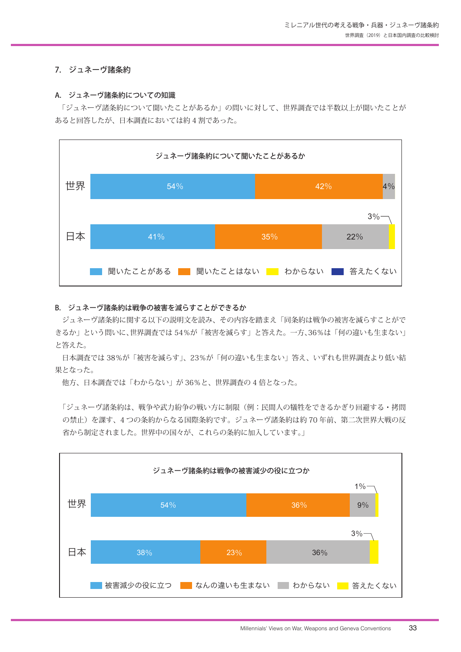#### 7. ジュネーヴ諸条約

#### A. ジュネーヴ諸条約についての知識

 「ジュネーヴ諸条約について聞いたことがあるか」の問いに対して、世界調査では半数以上が聞いたことが あると回答したが、日本調査においては約 4 割であった。



#### B. ジュネーヴ諸条約は戦争の被害を減らすことができるか

 ジュネーヴ諸条約に関する以下の説明文を読み、その内容を踏まえ「同条約は戦争の被害を減らすことがで きるか」という問いに、世界調査では 54%が「被害を減らす」と答えた。一方、36%は「何の違いも生まない」 と答えた。

 日本調査では 38%が「被害を減らす」、23%が「何の違いも生まない」答え、いずれも世界調査より低い結 果となった。

他方、日本調査では「わからない」が 36%と、世界調査の 4 倍となった。

「ジュネーヴ諸条約は、戦争や武力紛争の戦い方に制限(例:民間人の犠牲をできるかぎり回避する・拷問 の禁止)を課す、4 つの条約からなる国際条約です。ジュネーヴ諸条約は約 70 年前、第二次世界大戦の反 省から制定されました。世界中の国々が、これらの条約に加入しています。」

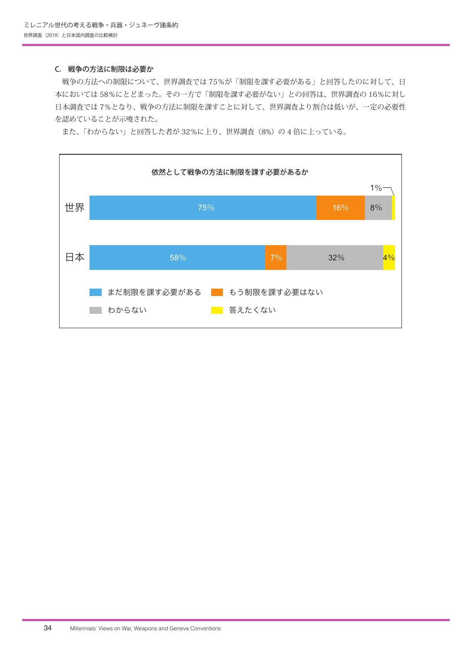#### C. 戦争の方法に制限は必要か

 戦争の方法への制限について、世界調査では 75%が「制限を課す必要がある」と回答したのに対して、日 本においては 58%にとどまった。その一方で「制限を課す必要がない」との回答は、世界調査の 16%に対し 日本調査では 7%となり、戦争の方法に制限を課すことに対して、世界調査より割合は低いが、一定の必要性 を認めていることが示唆された。

また、「わからない」と回答した者が32%に上り、世界調査(8%)の4倍に上っている。

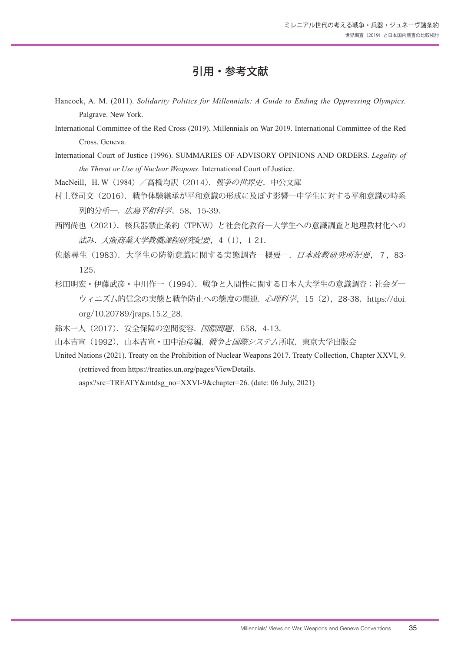## 引用・参考文献

- Hancock, A. M. (2011). *Solidarity Politics for Millennials: A Guide to Ending the Oppressing Olympics.*  Palgrave. New York.
- International Committee of the Red Cross (2019). Millennials on War 2019. International Committee of the Red Cross. Geneva.
- International Court of Justice (1996). SUMMARIES OF ADVISORY OPINIONS AND ORDERS. *Legality of the Threat or Use of Nuclear Weapons.* International Court of Justice.

MacNeill, H. W (1984) / 高橋均訳 (2014). 戦争の世界史. 中公文庫

- 村上登司文(2016).戦争体験継承が平和意識の形成に及ぼす影響―中学生に対する平和意識の時系 列的分析–, 広島平和科学, 58, 15-39.
- 西岡尚也(2021).核兵器禁止条約(TPNW)と社会化教育―大学生への意識調査と地理教材化への 試み.大阪商業大学教職課程研究紀要,4(1),1-21.
- 佐藤尋生(1983). 大学生の防衛意識に関する実態調査―概要―. 日本政教研究所紀要, 7,83-125.
- 杉田明宏・伊藤武彦・中川作一(1994).戦争と人間性に関する日本人大学生の意識調査:社会ダー ウィニズム的信念の実態と戦争防止への態度の関連. 心理科学, 15 (2), 28-38. https://doi. org/10.20789/jraps.15.2\_28.
- 鈴木一人 (2017). 安全保障の空間変容. 国際問題, 658, 4-13.
- 山本吉宣(1992). 山本吉宣·田中治彦編. 戦争と国際システム所収. 東京大学出版会
- United Nations (2021). Treaty on the Prohibition of Nuclear Weapons 2017. Treaty Collection, Chapter XXVI, 9. (retrieved from https://treaties.un.org/pages/ViewDetails.

aspx?src=TREATY&mtdsg\_no=XXVI-9&chapter=26. (date: 06 July, 2021)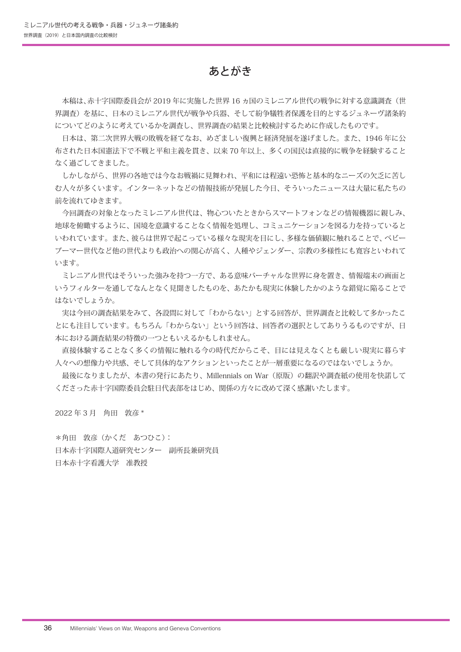## あとがき

 本稿は、赤十字国際委員会が 2019 年に実施した世界 16 ヵ国のミレニアル世代の戦争に対する意識調査(世 界調査)を基に、日本のミレニアル世代が戦争や兵器、そして紛争犠牲者保護を目的とするジュネーヴ諸条約 についてどのように考えているかを調査し、世界調査の結果と比較検討するために作成したものです。

 日本は、第二次世界大戦の敗戦を経てなお、めざましい復興と経済発展を遂げました。また、1946 年に公 布された日本国憲法下で不戦と平和主義を貫き、以来 70 年以上、多くの国民は直接的に戦争を経験すること なく過ごしてきました。

 しかしながら、世界の各地では今なお戦禍に見舞われ、平和には程遠い恐怖と基本的なニーズの欠乏に苦し む人々が多くいます。インターネットなどの情報技術が発展した今日、そういったニュースは大量に私たちの 前を流れてゆきます。

 今回調査の対象となったミレニアル世代は、物心ついたときからスマートフォンなどの情報機器に親しみ、 地球を俯瞰するように、国境を意識することなく情報を処理し、コミュニケーションを図る力を持っていると いわれています。また、彼らは世界で起こっている様々な現実を目にし、多様な価値観に触れることで、ベビー ブーマー世代など他の世代よりも政治への関心が高く、人種やジェンダー、宗教の多様性にも寛容といわれて います。

 ミレニアル世代はそういった強みを持つ一方で、ある意味バーチャルな世界に身を置き、情報端末の画面と いうフィルターを通してなんとなく見聞きしたものを、あたかも現実に体験したかのような錯覚に陥ることで はないでしょうか。

 実は今回の調査結果をみて、各設問に対して「わからない」とする回答が、世界調査と比較して多かったこ とにも注目しています。もちろん「わからない」という回答は、回答者の選択としてありうるものですが、日 本における調査結果の特徴の一つともいえるかもしれません。

 直接体験することなく多くの情報に触れる今の時代だからこそ、目には見えなくとも厳しい現実に暮らす 人々への想像力や共感、そして具体的なアクションといったことが一層重要になるのではないでしょうか。

最後になりましたが、本書の発行にあたり、Millennials on War(原版)の翻訳や調査紙の使用を快諾して くださった赤十字国際委員会駐日代表部をはじめ、関係の方々に改めて深く感謝いたします。

2022 年 3 月 角田 敦彦 \*

\*角田 敦彦(かくだ あつひこ): 日本赤十字国際人道研究センター 副所長兼研究員 日本赤十字看護大学 准教授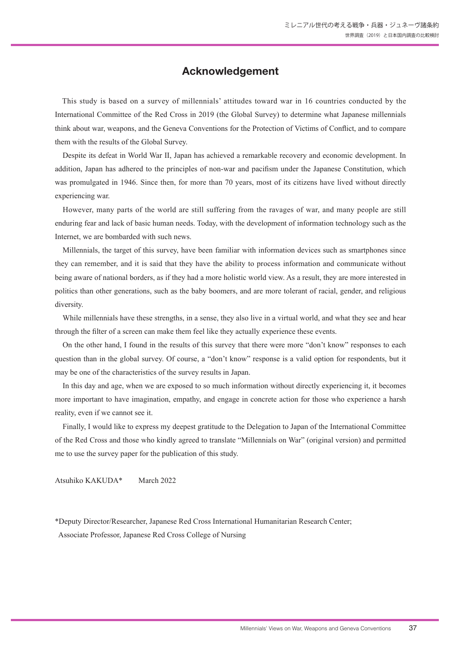## **Acknowledgement**

This study is based on a survey of millennials' attitudes toward war in 16 countries conducted by the International Committee of the Red Cross in 2019 (the Global Survey) to determine what Japanese millennials think about war, weapons, and the Geneva Conventions for the Protection of Victims of Conflict, and to compare them with the results of the Global Survey.

Despite its defeat in World War II, Japan has achieved a remarkable recovery and economic development. In addition, Japan has adhered to the principles of non-war and pacifism under the Japanese Constitution, which was promulgated in 1946. Since then, for more than 70 years, most of its citizens have lived without directly experiencing war.

However, many parts of the world are still suffering from the ravages of war, and many people are still enduring fear and lack of basic human needs. Today, with the development of information technology such as the Internet, we are bombarded with such news.

Millennials, the target of this survey, have been familiar with information devices such as smartphones since they can remember, and it is said that they have the ability to process information and communicate without being aware of national borders, as if they had a more holistic world view. As a result, they are more interested in politics than other generations, such as the baby boomers, and are more tolerant of racial, gender, and religious diversity.

While millennials have these strengths, in a sense, they also live in a virtual world, and what they see and hear through the filter of a screen can make them feel like they actually experience these events.

On the other hand, I found in the results of this survey that there were more "don't know" responses to each question than in the global survey. Of course, a "don't know" response is a valid option for respondents, but it may be one of the characteristics of the survey results in Japan.

In this day and age, when we are exposed to so much information without directly experiencing it, it becomes more important to have imagination, empathy, and engage in concrete action for those who experience a harsh reality, even if we cannot see it.

Finally, I would like to express my deepest gratitude to the Delegation to Japan of the International Committee of the Red Cross and those who kindly agreed to translate "Millennials on War" (original version) and permitted me to use the survey paper for the publication of this study.

Atsuhiko KAKUDA\* March 2022

\*Deputy Director/Researcher, Japanese Red Cross International Humanitarian Research Center;

Associate Professor, Japanese Red Cross College of Nursing